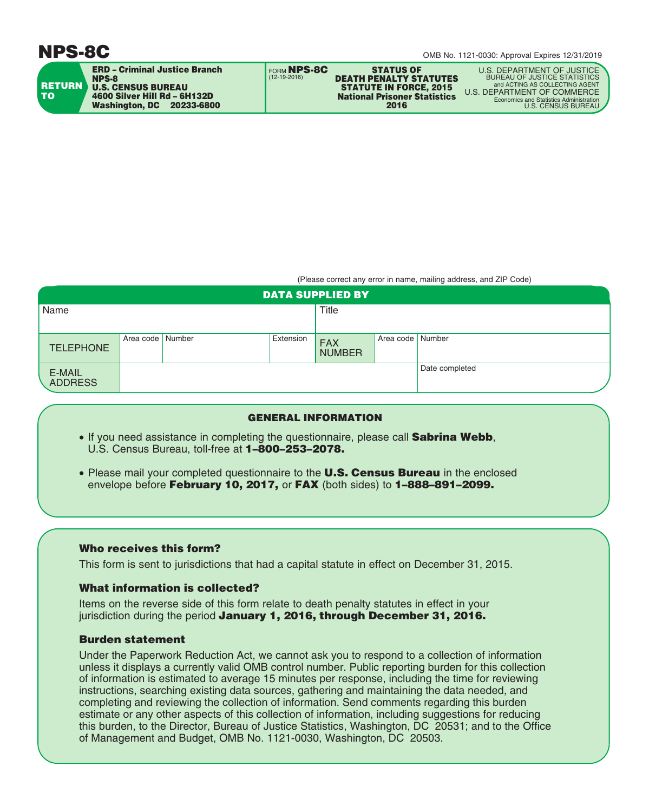# **NPS-8C**



**ERD – Criminal Justice Branch NPS-8 U.S. CENSUS BUREAU 4600 Silver Hill Rd – 6H132D Washington, DC 20233-6800**

**STATUS OF DEATH PENALTY STATUTES STATUTE IN FORCE, 2015 National Prisoner Statistics 2016** FORM **NPS-8C**

U.S. DEPARTMENT OF JUSTICE BUREAU OF JUSTICE STATISTICS<br>and ACTING AS COLLECTING AGENT and ACTING AS COLLECTING AGENT<br>U.S. DEPARTMENT OF COMMERCE<br>Economics and Statistics Administration and Statistics Administration<br>U.S. CENSUS BUREAU

(Please correct any error in name, mailing address, and ZIP Code)

| <b>DATA SUPPLIED BY</b>  |                  |  |           |                             |                    |                |  |
|--------------------------|------------------|--|-----------|-----------------------------|--------------------|----------------|--|
| Name                     |                  |  | Title     |                             |                    |                |  |
|                          |                  |  |           |                             |                    |                |  |
| <b>TELEPHONE</b>         | Area code Number |  | Extension | <b>FAX</b><br><b>NUMBER</b> | Area code   Number |                |  |
| E-MAIL<br><b>ADDRESS</b> |                  |  |           |                             |                    | Date completed |  |

## **GENERAL INFORMATION**

• If you need assistance in completing the questionnaire, please call **Sabrina Webb**, U.S. Census Bureau, toll-free at **1–800–253–2078.**

(12-19-2016)

• Please mail your completed questionnaire to the **U.S. Census Bureau** in the enclosed envelope before **February 10, 2017,** or **FAX** (both sides) to **1–888–891–2099.**

## **Who receives this form?**

This form is sent to jurisdictions that had a capital statute in effect on December 31, 2015.

## **What information is collected?**

Items on the reverse side of this form relate to death penalty statutes in effect in your jurisdiction during the period **January 1, 2016, through December 31, 2016.**

## **Burden statement**

Under the Paperwork Reduction Act, we cannot ask you to respond to a collection of information unless it displays a currently valid OMB control number. Public reporting burden for this collection of information is estimated to average 15 minutes per response, including the time for reviewing instructions, searching existing data sources, gathering and maintaining the data needed, and completing and reviewing the collection of information. Send comments regarding this burden estimate or any other aspects of this collection of information, including suggestions for reducing this burden, to the Director, Bureau of Justice Statistics, Washington, DC 20531; and to the Office of Management and Budget, OMB No. 1121-0030, Washington, DC 20503.